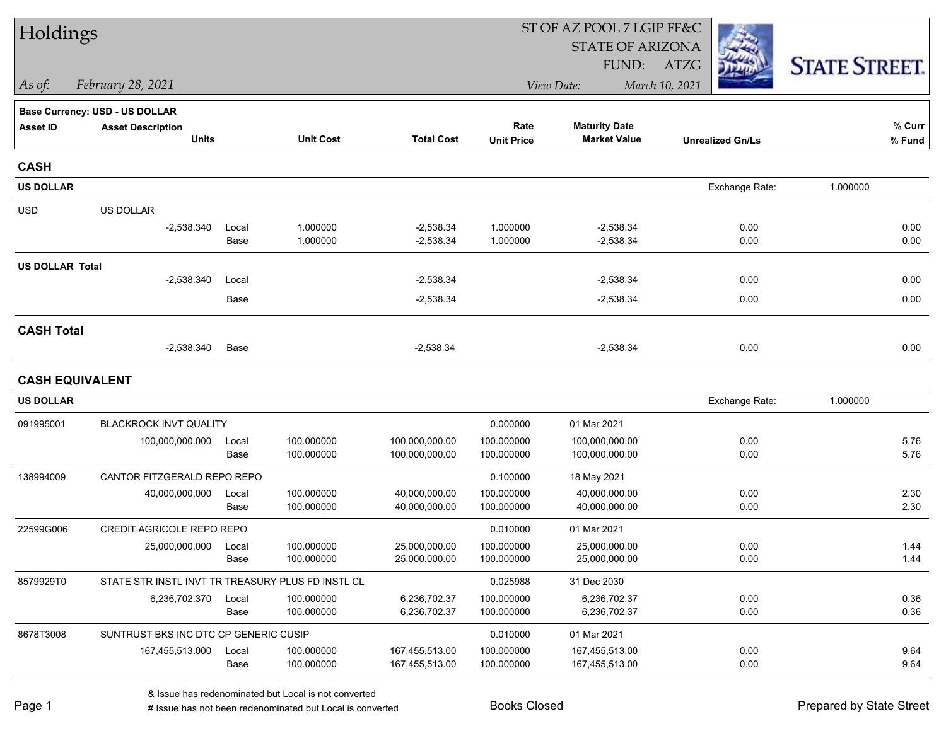| Holdings               |                                                   |               |                          |                                |                          | ST OF AZ POOL 7 LGIP FF&C      |                         |                      |
|------------------------|---------------------------------------------------|---------------|--------------------------|--------------------------------|--------------------------|--------------------------------|-------------------------|----------------------|
|                        |                                                   |               |                          |                                |                          | <b>STATE OF ARIZONA</b>        |                         |                      |
|                        |                                                   |               |                          |                                |                          | FUND:                          | ATZG                    | <b>STATE STREET.</b> |
| As of:                 | February 28, 2021                                 |               |                          |                                |                          | View Date:                     | March 10, 2021          |                      |
|                        | <b>Base Currency: USD - US DOLLAR</b>             |               |                          |                                |                          |                                |                         |                      |
| <b>Asset ID</b>        | <b>Asset Description</b>                          |               |                          |                                | Rate                     | <b>Maturity Date</b>           |                         | % Curr               |
|                        | <b>Units</b>                                      |               | <b>Unit Cost</b>         | <b>Total Cost</b>              | <b>Unit Price</b>        | <b>Market Value</b>            | <b>Unrealized Gn/Ls</b> | % Fund               |
| <b>CASH</b>            |                                                   |               |                          |                                |                          |                                |                         |                      |
| <b>US DOLLAR</b>       |                                                   |               |                          |                                |                          |                                | Exchange Rate:          | 1.000000             |
| <b>USD</b>             | US DOLLAR                                         |               |                          |                                |                          |                                |                         |                      |
|                        | $-2,538.340$                                      | Local         | 1.000000                 | $-2,538.34$                    | 1.000000                 | $-2,538.34$                    | 0.00                    | 0.00                 |
|                        |                                                   | Base          | 1.000000                 | $-2,538.34$                    | 1.000000                 | $-2,538.34$                    | 0.00                    | 0.00                 |
| <b>US DOLLAR Total</b> |                                                   |               |                          |                                |                          |                                |                         |                      |
|                        | $-2,538.340$                                      | Local         |                          | $-2,538.34$                    |                          | $-2,538.34$                    | 0.00                    | 0.00                 |
|                        |                                                   | Base          |                          | $-2,538.34$                    |                          | $-2,538.34$                    | 0.00                    | 0.00                 |
| <b>CASH Total</b>      |                                                   |               |                          |                                |                          |                                |                         |                      |
|                        | $-2,538.340$                                      | Base          |                          | $-2,538.34$                    |                          | $-2,538.34$                    | 0.00                    | 0.00                 |
|                        | <b>CASH EQUIVALENT</b>                            |               |                          |                                |                          |                                |                         |                      |
| <b>US DOLLAR</b>       |                                                   |               |                          |                                |                          |                                | Exchange Rate:          | 1.000000             |
| 091995001              | BLACKROCK INVT QUALITY                            |               |                          |                                | 0.000000                 | 01 Mar 2021                    |                         |                      |
|                        | 100,000,000.000                                   | Local         | 100.000000               | 100,000,000.00                 | 100.000000               | 100,000,000.00                 | 0.00                    | 5.76                 |
|                        |                                                   | Base          | 100.000000               | 100,000,000.00                 | 100.000000               | 100,000,000.00                 | 0.00                    | 5.76                 |
| 138994009              | CANTOR FITZGERALD REPO REPO                       |               |                          |                                | 0.100000                 | 18 May 2021                    |                         |                      |
|                        | 40,000,000.000                                    | Local         | 100.000000               | 40,000,000.00                  | 100.000000               | 40,000,000.00                  | 0.00                    | 2.30                 |
|                        |                                                   | Base          | 100.000000               | 40,000,000.00                  | 100.000000               | 40,000,000.00                  | 0.00                    | 2.30                 |
| 22599G006              | <b>CREDIT AGRICOLE REPO REPO</b>                  |               |                          |                                | 0.010000                 | 01 Mar 2021                    |                         |                      |
|                        | 25,000,000.000                                    | Local<br>Base | 100.000000<br>100.000000 | 25,000,000.00<br>25,000,000.00 | 100.000000<br>100.000000 | 25,000,000.00<br>25,000,000.00 | 0.00<br>0.00            | 1.44<br>1.44         |
| 8579929T0              | STATE STR INSTL INVT TR TREASURY PLUS FD INSTL CL |               |                          |                                | 0.025988                 | 31 Dec 2030                    |                         |                      |
|                        | 6,236,702.370                                     | Local         | 100.000000               | 6,236,702.37                   | 100.000000               | 6,236,702.37                   | 0.00                    | 0.36                 |
|                        |                                                   | Base          | 100.000000               | 6,236,702.37                   | 100.000000               | 6,236,702.37                   | 0.00                    | 0.36                 |
| 8678T3008              | SUNTRUST BKS INC DTC CP GENERIC CUSIP             |               |                          |                                | 0.010000                 | 01 Mar 2021                    |                         |                      |
|                        | 167,455,513.000                                   | Local         | 100.000000               | 167,455,513.00                 | 100.000000               | 167,455,513.00                 | 0.00                    | 9.64                 |
|                        |                                                   | Base          | 100.000000               | 167,455,513.00                 | 100.000000               | 167,455,513.00                 | 0.00                    | 9.64                 |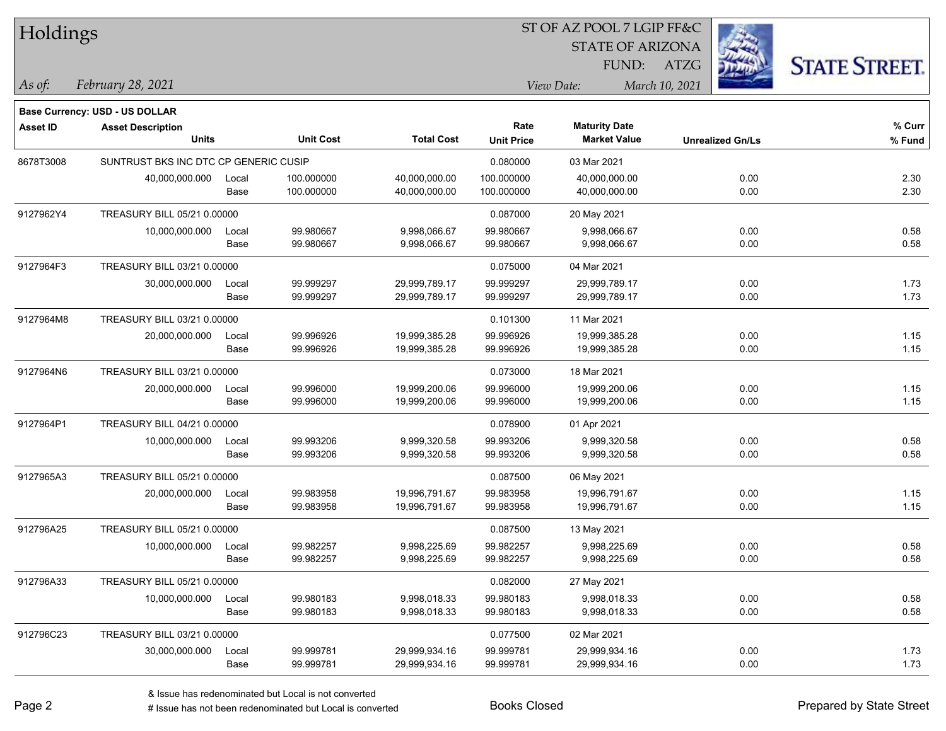| Holdings        |                                          |       |                  |                   |                   |                         |                |                         |                      |
|-----------------|------------------------------------------|-------|------------------|-------------------|-------------------|-------------------------|----------------|-------------------------|----------------------|
|                 |                                          |       |                  |                   |                   | <b>STATE OF ARIZONA</b> |                |                         |                      |
|                 |                                          |       |                  |                   |                   | FUND:                   | <b>ATZG</b>    |                         | <b>STATE STREET.</b> |
| $\vert$ As of:  | February 28, 2021                        |       |                  |                   |                   | View Date:              | March 10, 2021 |                         |                      |
|                 |                                          |       |                  |                   |                   |                         |                |                         |                      |
|                 | <b>Base Currency: USD - US DOLLAR</b>    |       |                  |                   | Rate              | <b>Maturity Date</b>    |                |                         | % Curr               |
| <b>Asset ID</b> | <b>Asset Description</b><br><b>Units</b> |       | <b>Unit Cost</b> | <b>Total Cost</b> | <b>Unit Price</b> | <b>Market Value</b>     |                | <b>Unrealized Gn/Ls</b> | % Fund               |
| 8678T3008       | SUNTRUST BKS INC DTC CP GENERIC CUSIP    |       |                  |                   | 0.080000          | 03 Mar 2021             |                |                         |                      |
|                 | 40,000,000.000                           | Local | 100.000000       | 40,000,000.00     | 100.000000        | 40,000,000.00           |                | 0.00                    | 2.30                 |
|                 |                                          | Base  | 100.000000       | 40,000,000.00     | 100.000000        | 40,000,000.00           |                | 0.00                    | 2.30                 |
| 9127962Y4       | TREASURY BILL 05/21 0.00000              |       |                  |                   | 0.087000          | 20 May 2021             |                |                         |                      |
|                 | 10,000,000.000                           | Local | 99.980667        | 9,998,066.67      | 99.980667         | 9,998,066.67            |                | 0.00                    | 0.58                 |
|                 |                                          | Base  | 99.980667        | 9,998,066.67      | 99.980667         | 9,998,066.67            |                | 0.00                    | 0.58                 |
| 9127964F3       | TREASURY BILL 03/21 0.00000              |       |                  |                   | 0.075000          | 04 Mar 2021             |                |                         |                      |
|                 | 30,000,000.000                           | Local | 99.999297        | 29,999,789.17     | 99.999297         | 29,999,789.17           |                | 0.00                    | 1.73                 |
|                 |                                          | Base  | 99.999297        | 29,999,789.17     | 99.999297         | 29,999,789.17           |                | 0.00                    | 1.73                 |
| 9127964M8       | TREASURY BILL 03/21 0.00000              |       |                  |                   | 0.101300          | 11 Mar 2021             |                |                         |                      |
|                 | 20,000,000.000                           | Local | 99.996926        | 19,999,385.28     | 99.996926         | 19,999,385.28           |                | 0.00                    | 1.15                 |
|                 |                                          | Base  | 99.996926        | 19,999,385.28     | 99.996926         | 19,999,385.28           |                | 0.00                    | 1.15                 |
| 9127964N6       | TREASURY BILL 03/21 0.00000              |       |                  |                   | 0.073000          | 18 Mar 2021             |                |                         |                      |
|                 | 20,000,000.000                           | Local | 99.996000        | 19,999,200.06     | 99.996000         | 19,999,200.06           |                | 0.00                    | 1.15                 |
|                 |                                          | Base  | 99.996000        | 19,999,200.06     | 99.996000         | 19,999,200.06           |                | 0.00                    | 1.15                 |
| 9127964P1       | TREASURY BILL 04/21 0.00000              |       |                  |                   | 0.078900          | 01 Apr 2021             |                |                         |                      |
|                 | 10,000,000.000                           | Local | 99.993206        | 9,999,320.58      | 99.993206         | 9,999,320.58            |                | 0.00                    | 0.58                 |
|                 |                                          | Base  | 99.993206        | 9,999,320.58      | 99.993206         | 9,999,320.58            |                | 0.00                    | 0.58                 |
| 9127965A3       | TREASURY BILL 05/21 0.00000              |       |                  |                   | 0.087500          | 06 May 2021             |                |                         |                      |
|                 | 20,000,000.000                           | Local | 99.983958        | 19,996,791.67     | 99.983958         | 19,996,791.67           |                | 0.00                    | 1.15                 |
|                 |                                          | Base  | 99.983958        | 19,996,791.67     | 99.983958         | 19,996,791.67           |                | 0.00                    | 1.15                 |
| 912796A25       | TREASURY BILL 05/21 0.00000              |       |                  |                   | 0.087500          | 13 May 2021             |                |                         |                      |
|                 | 10,000,000.000                           | Local | 99.982257        | 9,998,225.69      | 99.982257         | 9,998,225.69            |                | 0.00                    | 0.58                 |
|                 |                                          | Base  | 99.982257        | 9,998,225.69      | 99.982257         | 9,998,225.69            |                | 0.00                    | 0.58                 |
| 912796A33       | TREASURY BILL 05/21 0.00000              |       |                  |                   | 0.082000          | 27 May 2021             |                |                         |                      |
|                 | 10,000,000.000                           | Local | 99.980183        | 9,998,018.33      | 99.980183         | 9,998,018.33            |                | 0.00                    | 0.58                 |
|                 |                                          | Base  | 99.980183        | 9,998,018.33      | 99.980183         | 9,998,018.33            |                | 0.00                    | 0.58                 |
| 912796C23       | TREASURY BILL 03/21 0.00000              |       |                  |                   | 0.077500          | 02 Mar 2021             |                |                         |                      |
|                 | 30,000,000.000                           | Local | 99.999781        | 29,999,934.16     | 99.999781         | 29,999,934.16           |                | 0.00                    | 1.73                 |
|                 |                                          | Base  | 99.999781        | 29,999,934.16     | 99.999781         | 29,999,934.16           |                | 0.00                    | 1.73                 |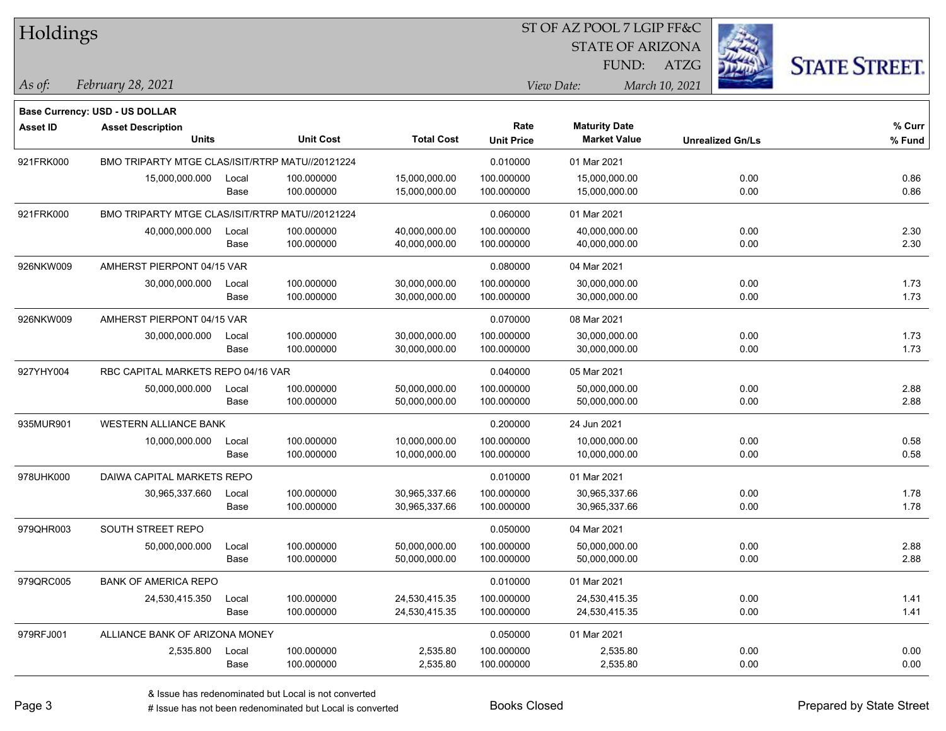| <b>Holdings</b> |                                                 |       |                  |                   | 51 OF AZ POOL 7 LGIP FF&C |                         |                |                         |                      |
|-----------------|-------------------------------------------------|-------|------------------|-------------------|---------------------------|-------------------------|----------------|-------------------------|----------------------|
|                 |                                                 |       |                  |                   |                           | <b>STATE OF ARIZONA</b> |                |                         |                      |
|                 |                                                 |       |                  |                   |                           |                         | FUND: ATZG     |                         | <b>STATE STREET.</b> |
| As of:          | February 28, 2021                               |       |                  |                   |                           | View Date:              | March 10, 2021 |                         |                      |
|                 | <b>Base Currency: USD - US DOLLAR</b>           |       |                  |                   |                           |                         |                |                         |                      |
| <b>Asset ID</b> | <b>Asset Description</b>                        |       |                  |                   | Rate                      | <b>Maturity Date</b>    |                |                         | % Curr               |
|                 | <b>Units</b>                                    |       | <b>Unit Cost</b> | <b>Total Cost</b> | <b>Unit Price</b>         | <b>Market Value</b>     |                | <b>Unrealized Gn/Ls</b> | % Fund               |
| 921FRK000       | BMO TRIPARTY MTGE CLAS/ISIT/RTRP MATU//20121224 |       |                  |                   | 0.010000                  | 01 Mar 2021             |                |                         |                      |
|                 | 15,000,000.000                                  | Local | 100.000000       | 15,000,000.00     | 100.000000                | 15,000,000.00           |                | 0.00                    | 0.86                 |
|                 |                                                 | Base  | 100.000000       | 15,000,000.00     | 100.000000                | 15,000,000.00           |                | 0.00                    | 0.86                 |
| 921FRK000       | BMO TRIPARTY MTGE CLAS/ISIT/RTRP MATU//20121224 |       |                  |                   | 0.060000                  | 01 Mar 2021             |                |                         |                      |
|                 | 40,000,000.000                                  | Local | 100.000000       | 40,000,000.00     | 100.000000                | 40,000,000.00           |                | 0.00                    | 2.30                 |
|                 |                                                 | Base  | 100.000000       | 40,000,000.00     | 100.000000                | 40,000,000.00           |                | 0.00                    | 2.30                 |
| 926NKW009       | AMHERST PIERPONT 04/15 VAR                      |       |                  |                   | 0.080000                  | 04 Mar 2021             |                |                         |                      |
|                 | 30,000,000.000                                  | Local | 100.000000       | 30,000,000.00     | 100.000000                | 30,000,000.00           |                | 0.00                    | 1.73                 |
|                 |                                                 | Base  | 100.000000       | 30,000,000.00     | 100.000000                | 30,000,000.00           |                | 0.00                    | 1.73                 |
| 926NKW009       | AMHERST PIERPONT 04/15 VAR                      |       |                  |                   | 0.070000                  | 08 Mar 2021             |                |                         |                      |
|                 | 30,000,000.000                                  | Local | 100.000000       | 30,000,000.00     | 100.000000                | 30,000,000.00           |                | 0.00                    | 1.73                 |
|                 |                                                 | Base  | 100.000000       | 30,000,000.00     | 100.000000                | 30,000,000.00           |                | 0.00                    | 1.73                 |
| 927YHY004       | RBC CAPITAL MARKETS REPO 04/16 VAR              |       |                  |                   | 0.040000                  | 05 Mar 2021             |                |                         |                      |
|                 | 50,000,000.000                                  | Local | 100.000000       | 50,000,000.00     | 100.000000                | 50,000,000.00           |                | 0.00                    | 2.88                 |
|                 |                                                 | Base  | 100.000000       | 50,000,000.00     | 100.000000                | 50,000,000.00           |                | 0.00                    | 2.88                 |
| 935MUR901       | WESTERN ALLIANCE BANK                           |       |                  |                   | 0.200000                  | 24 Jun 2021             |                |                         |                      |
|                 | 10,000,000.000                                  | Local | 100.000000       | 10,000,000.00     | 100.000000                | 10,000,000.00           |                | 0.00                    | 0.58                 |
|                 |                                                 | Base  | 100.000000       | 10,000,000.00     | 100.000000                | 10,000,000.00           |                | 0.00                    | 0.58                 |
| 978UHK000       | DAIWA CAPITAL MARKETS REPO                      |       |                  |                   | 0.010000                  | 01 Mar 2021             |                |                         |                      |
|                 | 30,965,337.660                                  | Local | 100.000000       | 30,965,337.66     | 100.000000                | 30,965,337.66           |                | 0.00                    | 1.78                 |
|                 |                                                 | Base  | 100.000000       | 30,965,337.66     | 100.000000                | 30,965,337.66           |                | 0.00                    | 1.78                 |
| 979QHR003       | SOUTH STREET REPO                               |       |                  |                   | 0.050000                  | 04 Mar 2021             |                |                         |                      |
|                 | 50,000,000.000                                  | Local | 100.000000       | 50,000,000.00     | 100.000000                | 50,000,000.00           |                | 0.00                    | 2.88                 |
|                 |                                                 | Base  | 100.000000       | 50,000,000.00     | 100.000000                | 50,000,000.00           |                | 0.00                    | 2.88                 |
| 979QRC005       | <b>BANK OF AMERICA REPO</b>                     |       |                  |                   | 0.010000                  | 01 Mar 2021             |                |                         |                      |
|                 | 24,530,415.350                                  | Local | 100.000000       | 24,530,415.35     | 100.000000                | 24,530,415.35           |                | 0.00                    | 1.41                 |
|                 |                                                 | Base  | 100.000000       | 24,530,415.35     | 100.000000                | 24,530,415.35           |                | 0.00                    | 1.41                 |
| 979RFJ001       | ALLIANCE BANK OF ARIZONA MONEY                  |       |                  |                   | 0.050000                  | 01 Mar 2021             |                |                         |                      |
|                 | 2,535.800                                       | Local | 100.000000       | 2,535.80          | 100.000000                | 2,535.80                |                | 0.00                    | 0.00                 |
|                 |                                                 | Base  | 100.000000       | 2,535.80          | 100.000000                | 2,535.80                |                | 0.00                    | 0.00                 |

 $ST$  OF AZ POOL 7 LCIP FF&C

# Issue has not been redenominated but Local is converted Books Closed Prepared by State Street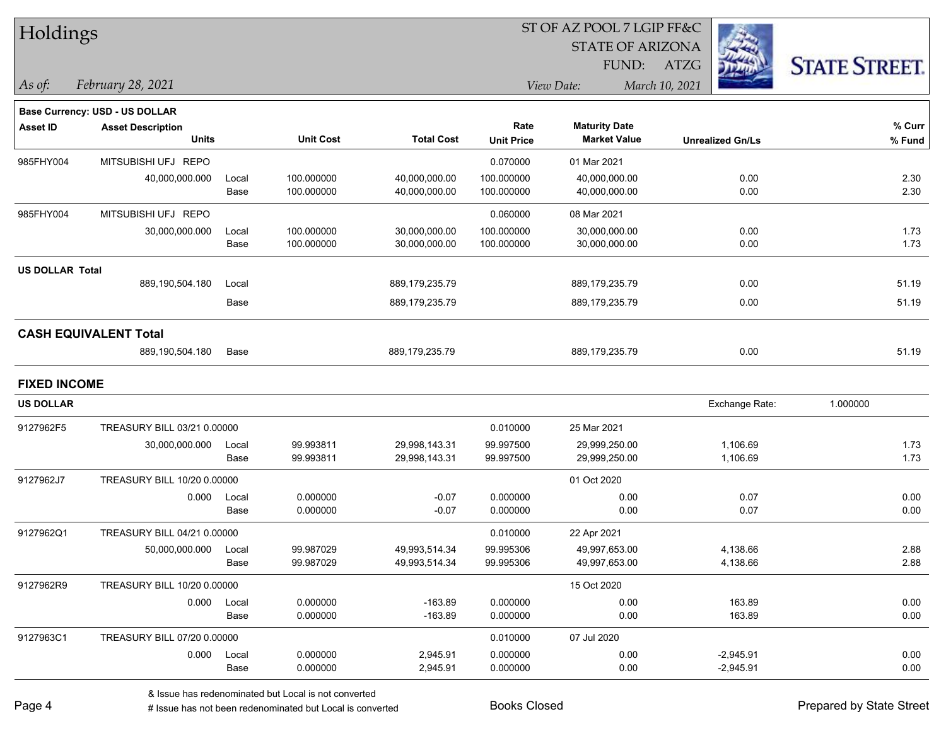| Holdings               |                                       |       |                  |                   |                   | ST OF AZ POOL 7 LGIP FF&C |                         |                      |
|------------------------|---------------------------------------|-------|------------------|-------------------|-------------------|---------------------------|-------------------------|----------------------|
|                        |                                       |       |                  |                   |                   | <b>STATE OF ARIZONA</b>   |                         |                      |
|                        |                                       |       |                  |                   |                   | FUND:                     | <b>ATZG</b>             | <b>STATE STREET.</b> |
| As of:                 | February 28, 2021                     |       |                  |                   |                   | View Date:                | March 10, 2021          |                      |
|                        | <b>Base Currency: USD - US DOLLAR</b> |       |                  |                   |                   |                           |                         |                      |
| <b>Asset ID</b>        | <b>Asset Description</b>              |       |                  |                   | Rate              | <b>Maturity Date</b>      |                         | % Curr               |
|                        | <b>Units</b>                          |       | <b>Unit Cost</b> | <b>Total Cost</b> | <b>Unit Price</b> | <b>Market Value</b>       | <b>Unrealized Gn/Ls</b> | % Fund               |
| 985FHY004              | MITSUBISHI UFJ REPO                   |       |                  |                   | 0.070000          | 01 Mar 2021               |                         |                      |
|                        | 40,000,000.000                        | Local | 100.000000       | 40,000,000.00     | 100.000000        | 40,000,000.00             | 0.00                    | 2.30                 |
|                        |                                       | Base  | 100.000000       | 40,000,000.00     | 100.000000        | 40,000,000.00             | 0.00                    | 2.30                 |
| 985FHY004              | MITSUBISHI UFJ REPO                   |       |                  |                   | 0.060000          | 08 Mar 2021               |                         |                      |
|                        | 30,000,000.000                        | Local | 100.000000       | 30,000,000.00     | 100.000000        | 30,000,000.00             | 0.00                    | 1.73                 |
|                        |                                       | Base  | 100.000000       | 30,000,000.00     | 100.000000        | 30,000,000.00             | 0.00                    | 1.73                 |
| <b>US DOLLAR Total</b> |                                       |       |                  |                   |                   |                           |                         |                      |
|                        | 889,190,504.180                       | Local |                  | 889,179,235.79    |                   | 889,179,235.79            | 0.00                    | 51.19                |
|                        |                                       | Base  |                  | 889,179,235.79    |                   | 889,179,235.79            | 0.00                    | 51.19                |
|                        | <b>CASH EQUIVALENT Total</b>          |       |                  |                   |                   |                           |                         |                      |
|                        | 889,190,504.180                       | Base  |                  | 889,179,235.79    |                   | 889,179,235.79            | 0.00                    | 51.19                |
| <b>FIXED INCOME</b>    |                                       |       |                  |                   |                   |                           |                         |                      |
| <b>US DOLLAR</b>       |                                       |       |                  |                   |                   |                           | Exchange Rate:          | 1.000000             |
| 9127962F5              | TREASURY BILL 03/21 0.00000           |       |                  |                   | 0.010000          | 25 Mar 2021               |                         |                      |
|                        | 30,000,000.000                        | Local | 99.993811        | 29,998,143.31     | 99.997500         | 29,999,250.00             | 1,106.69                | 1.73                 |
|                        |                                       | Base  | 99.993811        | 29,998,143.31     | 99.997500         | 29,999,250.00             | 1,106.69                | 1.73                 |
| 9127962J7              | TREASURY BILL 10/20 0.00000           |       |                  |                   |                   | 01 Oct 2020               |                         |                      |
|                        | 0.000                                 | Local | 0.000000         | $-0.07$           | 0.000000          | 0.00                      | 0.07                    | 0.00                 |
|                        |                                       | Base  | 0.000000         | $-0.07$           | 0.000000          | 0.00                      | 0.07                    | 0.00                 |
| 9127962Q1              | TREASURY BILL 04/21 0.00000           |       |                  |                   | 0.010000          | 22 Apr 2021               |                         |                      |
|                        | 50,000,000.000 Local                  |       | 99.987029        | 49,993,514.34     | 99.995306         | 49,997,653.00             | 4,138.66                | 2.88                 |
|                        |                                       | Base  | 99.987029        | 49,993,514.34     | 99.995306         | 49,997,653.00             | 4,138.66                | 2.88                 |
| 9127962R9              | TREASURY BILL 10/20 0.00000           |       |                  |                   |                   | 15 Oct 2020               |                         |                      |
|                        | 0.000                                 | Local | 0.000000         | $-163.89$         | 0.000000          | 0.00                      | 163.89                  | 0.00                 |
|                        |                                       | Base  | 0.000000         | $-163.89$         | 0.000000          | 0.00                      | 163.89                  | 0.00                 |
| 9127963C1              | TREASURY BILL 07/20 0.00000           |       |                  |                   | 0.010000          | 07 Jul 2020               |                         |                      |
|                        | 0.000                                 | Local | 0.000000         | 2,945.91          | 0.000000          | 0.00                      | $-2,945.91$             | 0.00                 |
|                        |                                       | Base  | 0.000000         | 2,945.91          | 0.000000          | 0.00                      | $-2,945.91$             | 0.00                 |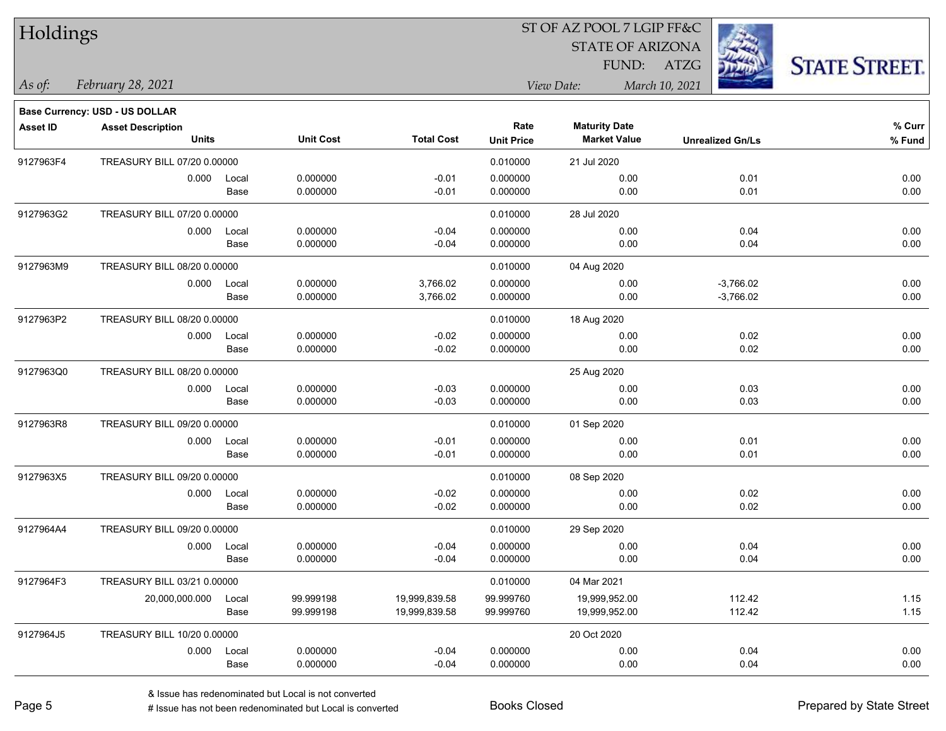| Holdings        |                                       |       |                  |                   | ST OF AZ POOL 7 LGIP FF&C |                                             |                         |                      |
|-----------------|---------------------------------------|-------|------------------|-------------------|---------------------------|---------------------------------------------|-------------------------|----------------------|
|                 |                                       |       |                  |                   |                           | <b>STATE OF ARIZONA</b>                     |                         |                      |
|                 |                                       |       |                  |                   |                           | FUND: ATZG                                  |                         | <b>STATE STREET.</b> |
| $\vert$ As of:  | February 28, 2021                     |       |                  |                   |                           | View Date:                                  | March 10, 2021          |                      |
|                 |                                       |       |                  |                   |                           |                                             |                         |                      |
|                 | <b>Base Currency: USD - US DOLLAR</b> |       |                  |                   | Rate                      |                                             |                         | % Curr               |
| <b>Asset ID</b> | <b>Asset Description</b><br>Units     |       | <b>Unit Cost</b> | <b>Total Cost</b> | <b>Unit Price</b>         | <b>Maturity Date</b><br><b>Market Value</b> | <b>Unrealized Gn/Ls</b> | % Fund               |
| 9127963F4       | TREASURY BILL 07/20 0.00000           |       |                  |                   | 0.010000                  | 21 Jul 2020                                 |                         |                      |
|                 | 0.000                                 | Local | 0.000000         | $-0.01$           | 0.000000                  | 0.00                                        | 0.01                    | 0.00                 |
|                 |                                       | Base  | 0.000000         | $-0.01$           | 0.000000                  | 0.00                                        | 0.01                    | 0.00                 |
| 9127963G2       | TREASURY BILL 07/20 0.00000           |       |                  |                   | 0.010000                  | 28 Jul 2020                                 |                         |                      |
|                 | 0.000                                 | Local | 0.000000         | $-0.04$           | 0.000000                  | 0.00                                        | 0.04                    | 0.00                 |
|                 |                                       | Base  | 0.000000         | $-0.04$           | 0.000000                  | 0.00                                        | 0.04                    | 0.00                 |
| 9127963M9       | TREASURY BILL 08/20 0.00000           |       |                  |                   | 0.010000                  | 04 Aug 2020                                 |                         |                      |
|                 | 0.000                                 | Local | 0.000000         | 3,766.02          | 0.000000                  | 0.00                                        | $-3,766.02$             | 0.00                 |
|                 |                                       | Base  | 0.000000         | 3,766.02          | 0.000000                  | 0.00                                        | $-3,766.02$             | 0.00                 |
| 9127963P2       | TREASURY BILL 08/20 0.00000           |       |                  |                   | 0.010000                  | 18 Aug 2020                                 |                         |                      |
|                 | 0.000                                 | Local | 0.000000         | $-0.02$           | 0.000000                  | 0.00                                        | 0.02                    | 0.00                 |
|                 |                                       | Base  | 0.000000         | $-0.02$           | 0.000000                  | 0.00                                        | 0.02                    | 0.00                 |
| 9127963Q0       | TREASURY BILL 08/20 0.00000           |       |                  |                   |                           | 25 Aug 2020                                 |                         |                      |
|                 | 0.000                                 | Local | 0.000000         | $-0.03$           | 0.000000                  | 0.00                                        | 0.03                    | 0.00                 |
|                 |                                       | Base  | 0.000000         | $-0.03$           | 0.000000                  | 0.00                                        | 0.03                    | 0.00                 |
| 9127963R8       | TREASURY BILL 09/20 0.00000           |       |                  |                   | 0.010000                  | 01 Sep 2020                                 |                         |                      |
|                 | 0.000                                 | Local | 0.000000         | $-0.01$           | 0.000000                  | 0.00                                        | 0.01                    | 0.00                 |
|                 |                                       | Base  | 0.000000         | $-0.01$           | 0.000000                  | 0.00                                        | 0.01                    | 0.00                 |
| 9127963X5       | TREASURY BILL 09/20 0.00000           |       |                  |                   | 0.010000                  | 08 Sep 2020                                 |                         |                      |
|                 | 0.000                                 | Local | 0.000000         | $-0.02$           | 0.000000                  | 0.00                                        | 0.02                    | 0.00                 |
|                 |                                       | Base  | 0.000000         | $-0.02$           | 0.000000                  | 0.00                                        | 0.02                    | 0.00                 |
| 9127964A4       | TREASURY BILL 09/20 0.00000           |       |                  |                   | 0.010000                  | 29 Sep 2020                                 |                         |                      |
|                 | 0.000 Local                           |       | 0.000000         | $-0.04$           | 0.000000                  | 0.00                                        | 0.04                    | 0.00                 |
|                 |                                       | Base  | 0.000000         | $-0.04$           | 0.000000                  | 0.00                                        | 0.04                    | 0.00                 |
| 9127964F3       | TREASURY BILL 03/21 0.00000           |       |                  |                   | 0.010000                  | 04 Mar 2021                                 |                         |                      |
|                 | 20,000,000.000                        | Local | 99.999198        | 19,999,839.58     | 99.999760                 | 19,999,952.00                               | 112.42                  | 1.15                 |
|                 |                                       | Base  | 99.999198        | 19,999,839.58     | 99.999760                 | 19,999,952.00                               | 112.42                  | 1.15                 |
| 9127964J5       | TREASURY BILL 10/20 0.00000           |       |                  |                   |                           | 20 Oct 2020                                 |                         |                      |
|                 | 0.000                                 | Local | 0.000000         | $-0.04$           | 0.000000                  | 0.00                                        | 0.04                    | 0.00                 |
|                 |                                       | Base  | 0.000000         | $-0.04$           | 0.000000                  | 0.00                                        | 0.04                    | 0.00                 |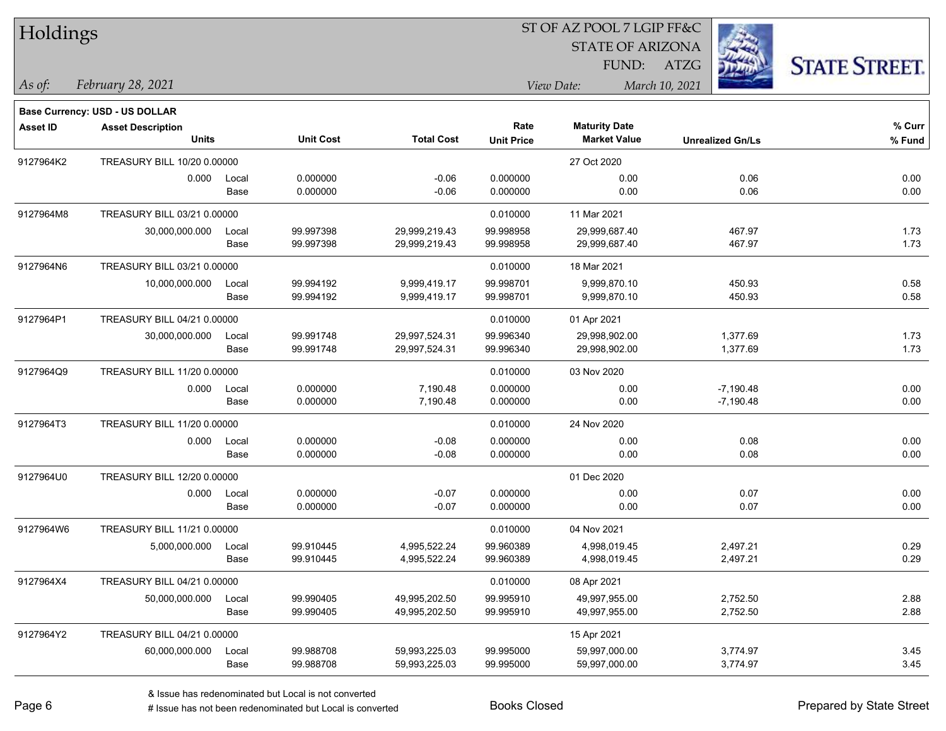| Holdings |  |
|----------|--|
|----------|--|

#### ST OF AZ POOL 7 LGIP FF&C

STATE OF ARIZONA

FUND: ATZG



*February 28, 2021 As of: View Date: March 10, 2021*

**Base Currency: USD - US DOLLAR**

| Asset ID  | <b>Asset Description</b>    |       |                  |                   | Rate              | <b>Maturity Date</b> |                         | % Curr |
|-----------|-----------------------------|-------|------------------|-------------------|-------------------|----------------------|-------------------------|--------|
|           | <b>Units</b>                |       | <b>Unit Cost</b> | <b>Total Cost</b> | <b>Unit Price</b> | <b>Market Value</b>  | <b>Unrealized Gn/Ls</b> | % Fund |
| 9127964K2 | TREASURY BILL 10/20 0.00000 |       |                  |                   |                   | 27 Oct 2020          |                         |        |
|           | 0.000                       | Local | 0.000000         | $-0.06$           | 0.000000          | 0.00                 | 0.06                    | 0.00   |
|           |                             | Base  | 0.000000         | $-0.06$           | 0.000000          | 0.00                 | 0.06                    | 0.00   |
| 9127964M8 | TREASURY BILL 03/21 0.00000 |       |                  |                   | 0.010000          | 11 Mar 2021          |                         |        |
|           | 30,000,000.000              | Local | 99.997398        | 29,999,219.43     | 99.998958         | 29,999,687.40        | 467.97                  | 1.73   |
|           |                             | Base  | 99.997398        | 29,999,219.43     | 99.998958         | 29,999,687.40        | 467.97                  | 1.73   |
| 9127964N6 | TREASURY BILL 03/21 0.00000 |       |                  |                   | 0.010000          | 18 Mar 2021          |                         |        |
|           | 10,000,000.000              | Local | 99.994192        | 9,999,419.17      | 99.998701         | 9,999,870.10         | 450.93                  | 0.58   |
|           |                             | Base  | 99.994192        | 9,999,419.17      | 99.998701         | 9,999,870.10         | 450.93                  | 0.58   |
| 9127964P1 | TREASURY BILL 04/21 0.00000 |       |                  |                   | 0.010000          | 01 Apr 2021          |                         |        |
|           | 30,000,000.000              | Local | 99.991748        | 29,997,524.31     | 99.996340         | 29,998,902.00        | 1,377.69                | 1.73   |
|           |                             | Base  | 99.991748        | 29,997,524.31     | 99.996340         | 29,998,902.00        | 1,377.69                | 1.73   |
| 9127964Q9 | TREASURY BILL 11/20 0.00000 |       |                  |                   | 0.010000          | 03 Nov 2020          |                         |        |
|           | 0.000                       | Local | 0.000000         | 7,190.48          | 0.000000          | 0.00                 | $-7,190.48$             | 0.00   |
|           |                             | Base  | 0.000000         | 7,190.48          | 0.000000          | 0.00                 | $-7,190.48$             | 0.00   |
| 9127964T3 | TREASURY BILL 11/20 0.00000 |       |                  |                   | 0.010000          | 24 Nov 2020          |                         |        |
|           | 0.000                       | Local | 0.000000         | $-0.08$           | 0.000000          | 0.00                 | 0.08                    | 0.00   |
|           |                             | Base  | 0.000000         | $-0.08$           | 0.000000          | 0.00                 | 0.08                    | 0.00   |
| 9127964U0 | TREASURY BILL 12/20 0.00000 |       |                  |                   |                   | 01 Dec 2020          |                         |        |
|           | 0.000                       | Local | 0.000000         | $-0.07$           | 0.000000          | 0.00                 | 0.07                    | 0.00   |
|           |                             | Base  | 0.000000         | $-0.07$           | 0.000000          | 0.00                 | 0.07                    | 0.00   |
| 9127964W6 | TREASURY BILL 11/21 0.00000 |       |                  |                   | 0.010000          | 04 Nov 2021          |                         |        |
|           | 5,000,000.000               | Local | 99.910445        | 4,995,522.24      | 99.960389         | 4,998,019.45         | 2,497.21                | 0.29   |
|           |                             | Base  | 99.910445        | 4,995,522.24      | 99.960389         | 4,998,019.45         | 2,497.21                | 0.29   |
| 9127964X4 | TREASURY BILL 04/21 0.00000 |       |                  |                   | 0.010000          | 08 Apr 2021          |                         |        |
|           | 50,000,000.000              | Local | 99.990405        | 49,995,202.50     | 99.995910         | 49,997,955.00        | 2,752.50                | 2.88   |
|           |                             | Base  | 99.990405        | 49,995,202.50     | 99.995910         | 49,997,955.00        | 2,752.50                | 2.88   |
| 9127964Y2 | TREASURY BILL 04/21 0.00000 |       |                  |                   |                   | 15 Apr 2021          |                         |        |
|           | 60,000,000.000              | Local | 99.988708        | 59,993,225.03     | 99.995000         | 59,997,000.00        | 3,774.97                | 3.45   |
|           |                             | Base  | 99.988708        | 59,993,225.03     | 99.995000         | 59,997,000.00        | 3,774.97                | 3.45   |

# Issue has not been redenominated but Local is converted Books Closed Prepared by State Street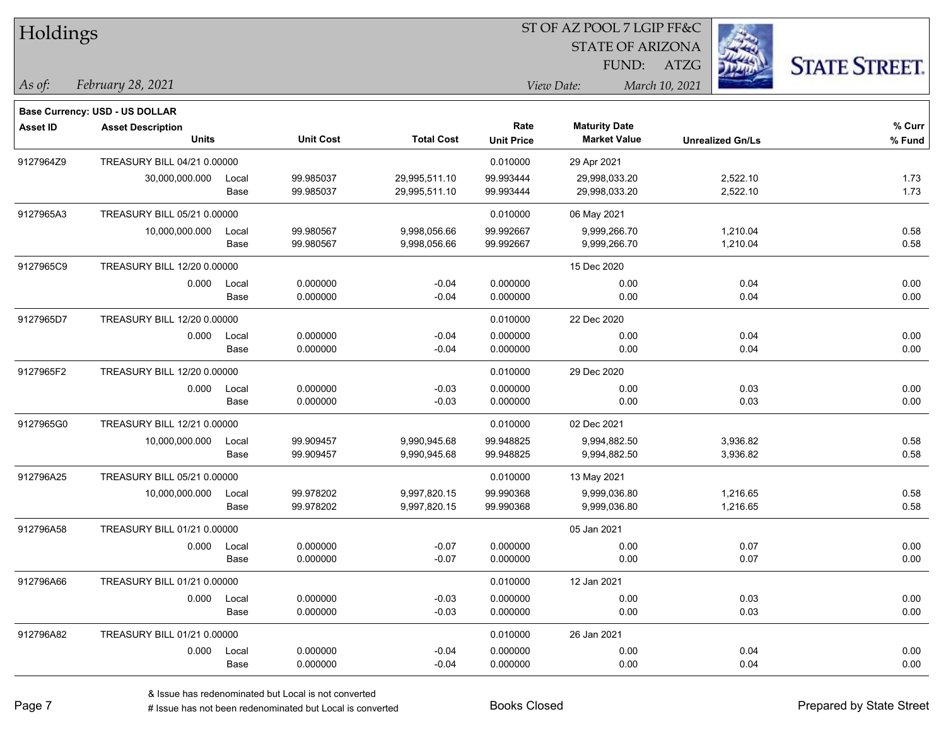| Holdings        |                                       |       |                  |                   |                   |                         |                         |                      |
|-----------------|---------------------------------------|-------|------------------|-------------------|-------------------|-------------------------|-------------------------|----------------------|
|                 |                                       |       |                  |                   |                   | <b>STATE OF ARIZONA</b> |                         |                      |
|                 |                                       |       |                  |                   |                   | FUND:                   | <b>ATZG</b>             | <b>STATE STREET.</b> |
| As of:          | February 28, 2021                     |       |                  |                   |                   | View Date:              | March 10, 2021          |                      |
|                 | <b>Base Currency: USD - US DOLLAR</b> |       |                  |                   |                   |                         |                         |                      |
| <b>Asset ID</b> | <b>Asset Description</b>              |       |                  |                   | Rate              | <b>Maturity Date</b>    |                         | % Curr               |
|                 | <b>Units</b>                          |       | <b>Unit Cost</b> | <b>Total Cost</b> | <b>Unit Price</b> | <b>Market Value</b>     | <b>Unrealized Gn/Ls</b> | % Fund               |
| 9127964Z9       | TREASURY BILL 04/21 0.00000           |       |                  |                   | 0.010000          | 29 Apr 2021             |                         |                      |
|                 | 30,000,000.000                        | Local | 99.985037        | 29,995,511.10     | 99.993444         | 29,998,033.20           | 2,522.10                | 1.73                 |
|                 |                                       | Base  | 99.985037        | 29,995,511.10     | 99.993444         | 29,998,033.20           | 2,522.10                | 1.73                 |
| 9127965A3       | TREASURY BILL 05/21 0.00000           |       |                  |                   | 0.010000          | 06 May 2021             |                         |                      |
|                 | 10,000,000.000                        | Local | 99.980567        | 9,998,056.66      | 99.992667         | 9,999,266.70            | 1,210.04                | 0.58                 |
|                 |                                       | Base  | 99.980567        | 9,998,056.66      | 99.992667         | 9,999,266.70            | 1,210.04                | 0.58                 |
| 9127965C9       | TREASURY BILL 12/20 0.00000           |       |                  |                   |                   | 15 Dec 2020             |                         |                      |
|                 | 0.000                                 | Local | 0.000000         | $-0.04$           | 0.000000          | 0.00                    | 0.04                    | 0.00                 |
|                 |                                       | Base  | 0.000000         | $-0.04$           | 0.000000          | 0.00                    | 0.04                    | 0.00                 |
| 9127965D7       | TREASURY BILL 12/20 0.00000           |       |                  |                   | 0.010000          | 22 Dec 2020             |                         |                      |
|                 | 0.000                                 | Local | 0.000000         | $-0.04$           | 0.000000          | 0.00                    | 0.04                    | 0.00                 |
|                 |                                       | Base  | 0.000000         | $-0.04$           | 0.000000          | 0.00                    | 0.04                    | 0.00                 |
| 9127965F2       | TREASURY BILL 12/20 0.00000           |       |                  |                   | 0.010000          | 29 Dec 2020             |                         |                      |
|                 | 0.000                                 | Local | 0.000000         | $-0.03$           | 0.000000          | 0.00                    | 0.03                    | 0.00                 |
|                 |                                       | Base  | 0.000000         | $-0.03$           | 0.000000          | 0.00                    | 0.03                    | 0.00                 |
| 9127965G0       | TREASURY BILL 12/21 0.00000           |       |                  |                   | 0.010000          | 02 Dec 2021             |                         |                      |
|                 | 10,000,000.000                        | Local | 99.909457        | 9,990,945.68      | 99.948825         | 9,994,882.50            | 3,936.82                | 0.58                 |
|                 |                                       | Base  | 99.909457        | 9,990,945.68      | 99.948825         | 9,994,882.50            | 3,936.82                | 0.58                 |
| 912796A25       | TREASURY BILL 05/21 0.00000           |       |                  |                   | 0.010000          | 13 May 2021             |                         |                      |
|                 | 10,000,000.000                        | Local | 99.978202        | 9,997,820.15      | 99.990368         | 9,999,036.80            | 1,216.65                | 0.58                 |
|                 |                                       | Base  | 99.978202        | 9,997,820.15      | 99.990368         | 9,999,036.80            | 1,216.65                | 0.58                 |
| 912796A58       | TREASURY BILL 01/21 0.00000           |       |                  |                   |                   | 05 Jan 2021             |                         |                      |
|                 | 0.000                                 | Local | 0.000000         | $-0.07$           | 0.000000          | 0.00                    | 0.07                    | 0.00                 |
|                 |                                       | Base  | 0.000000         | $-0.07$           | 0.000000          | 0.00                    | 0.07                    | 0.00                 |
| 912796A66       | TREASURY BILL 01/21 0.00000           |       |                  |                   | 0.010000          | 12 Jan 2021             |                         |                      |
|                 | 0.000                                 | Local | 0.000000         | $-0.03$           | 0.000000          | 0.00                    | 0.03                    | 0.00                 |
|                 |                                       | Base  | 0.000000         | $-0.03$           | 0.000000          | 0.00                    | 0.03                    | 0.00                 |
| 912796A82       | TREASURY BILL 01/21 0.00000           |       |                  |                   | 0.010000          | 26 Jan 2021             |                         |                      |
|                 | 0.000                                 | Local | 0.000000         | $-0.04$           | 0.000000          | 0.00                    | 0.04                    | 0.00                 |
|                 |                                       | Base  | 0.000000         | $-0.04$           | 0.000000          | 0.00                    | 0.04                    | 0.00                 |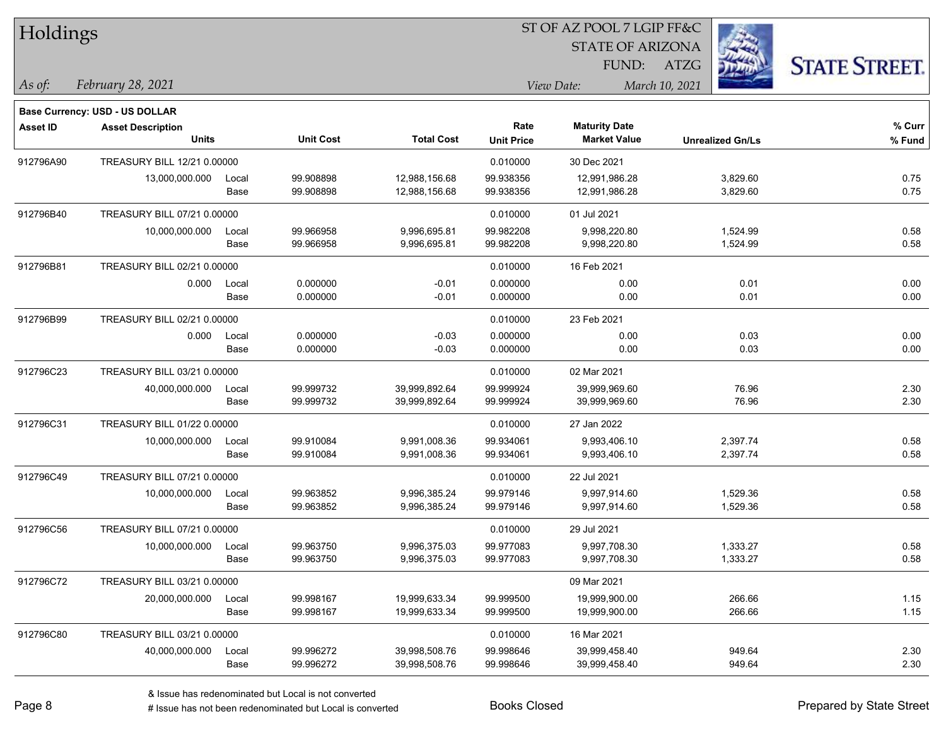| Holdings        |                                       |       |                  |                   |                   |                         |                         |                      |
|-----------------|---------------------------------------|-------|------------------|-------------------|-------------------|-------------------------|-------------------------|----------------------|
|                 |                                       |       |                  |                   |                   | <b>STATE OF ARIZONA</b> |                         |                      |
|                 |                                       |       |                  |                   |                   | FUND:                   | <b>ATZG</b>             | <b>STATE STREET.</b> |
| As of:          | February 28, 2021                     |       |                  |                   |                   | View Date:              | March 10, 2021          |                      |
|                 | <b>Base Currency: USD - US DOLLAR</b> |       |                  |                   |                   |                         |                         |                      |
| <b>Asset ID</b> | <b>Asset Description</b>              |       |                  |                   | Rate              | <b>Maturity Date</b>    |                         | % Curr               |
|                 | <b>Units</b>                          |       | <b>Unit Cost</b> | <b>Total Cost</b> | <b>Unit Price</b> | <b>Market Value</b>     | <b>Unrealized Gn/Ls</b> | % Fund               |
| 912796A90       | TREASURY BILL 12/21 0.00000           |       |                  |                   | 0.010000          | 30 Dec 2021             |                         |                      |
|                 | 13,000,000.000                        | Local | 99.908898        | 12,988,156.68     | 99.938356         | 12,991,986.28           | 3,829.60                | 0.75                 |
|                 |                                       | Base  | 99.908898        | 12,988,156.68     | 99.938356         | 12,991,986.28           | 3,829.60                | 0.75                 |
| 912796B40       | TREASURY BILL 07/21 0.00000           |       |                  |                   | 0.010000          | 01 Jul 2021             |                         |                      |
|                 | 10,000,000.000                        | Local | 99.966958        | 9,996,695.81      | 99.982208         | 9,998,220.80            | 1,524.99                | 0.58                 |
|                 |                                       | Base  | 99.966958        | 9,996,695.81      | 99.982208         | 9,998,220.80            | 1,524.99                | 0.58                 |
| 912796B81       | TREASURY BILL 02/21 0.00000           |       |                  |                   | 0.010000          | 16 Feb 2021             |                         |                      |
|                 | 0.000                                 | Local | 0.000000         | $-0.01$           | 0.000000          | 0.00                    | 0.01                    | 0.00                 |
|                 |                                       | Base  | 0.000000         | $-0.01$           | 0.000000          | 0.00                    | 0.01                    | 0.00                 |
| 912796B99       | TREASURY BILL 02/21 0.00000           |       |                  |                   | 0.010000          | 23 Feb 2021             |                         |                      |
|                 | 0.000                                 | Local | 0.000000         | $-0.03$           | 0.000000          | 0.00                    | 0.03                    | 0.00                 |
|                 |                                       | Base  | 0.000000         | $-0.03$           | 0.000000          | 0.00                    | 0.03                    | 0.00                 |
| 912796C23       | TREASURY BILL 03/21 0.00000           |       |                  |                   | 0.010000          | 02 Mar 2021             |                         |                      |
|                 | 40,000,000.000                        | Local | 99.999732        | 39,999,892.64     | 99.999924         | 39,999,969.60           | 76.96                   | 2.30                 |
|                 |                                       | Base  | 99.999732        | 39,999,892.64     | 99.999924         | 39,999,969.60           | 76.96                   | 2.30                 |
| 912796C31       | TREASURY BILL 01/22 0.00000           |       |                  |                   | 0.010000          | 27 Jan 2022             |                         |                      |
|                 | 10,000,000.000                        | Local | 99.910084        | 9,991,008.36      | 99.934061         | 9,993,406.10            | 2,397.74                | 0.58                 |
|                 |                                       | Base  | 99.910084        | 9,991,008.36      | 99.934061         | 9,993,406.10            | 2,397.74                | 0.58                 |
| 912796C49       | TREASURY BILL 07/21 0.00000           |       |                  |                   | 0.010000          | 22 Jul 2021             |                         |                      |
|                 | 10,000,000.000                        | Local | 99.963852        | 9,996,385.24      | 99.979146         | 9,997,914.60            | 1,529.36                | 0.58                 |
|                 |                                       | Base  | 99.963852        | 9,996,385.24      | 99.979146         | 9,997,914.60            | 1,529.36                | 0.58                 |
| 912796C56       | TREASURY BILL 07/21 0.00000           |       |                  |                   | 0.010000          | 29 Jul 2021             |                         |                      |
|                 | 10,000,000.000                        | Local | 99.963750        | 9,996,375.03      | 99.977083         | 9,997,708.30            | 1,333.27                | 0.58                 |
|                 |                                       | Base  | 99.963750        | 9,996,375.03      | 99.977083         | 9,997,708.30            | 1,333.27                | 0.58                 |
| 912796C72       | TREASURY BILL 03/21 0.00000           |       |                  |                   |                   | 09 Mar 2021             |                         |                      |
|                 | 20,000,000.000                        | Local | 99.998167        | 19,999,633.34     | 99.999500         | 19,999,900.00           | 266.66                  | 1.15                 |
|                 |                                       | Base  | 99.998167        | 19,999,633.34     | 99.999500         | 19,999,900.00           | 266.66                  | 1.15                 |
| 912796C80       | TREASURY BILL 03/21 0.00000           |       |                  |                   | 0.010000          | 16 Mar 2021             |                         |                      |
|                 | 40,000,000.000                        | Local | 99.996272        | 39,998,508.76     | 99.998646         | 39,999,458.40           | 949.64                  | 2.30                 |
|                 |                                       | Base  | 99.996272        | 39,998,508.76     | 99.998646         | 39,999,458.40           | 949.64                  | 2.30                 |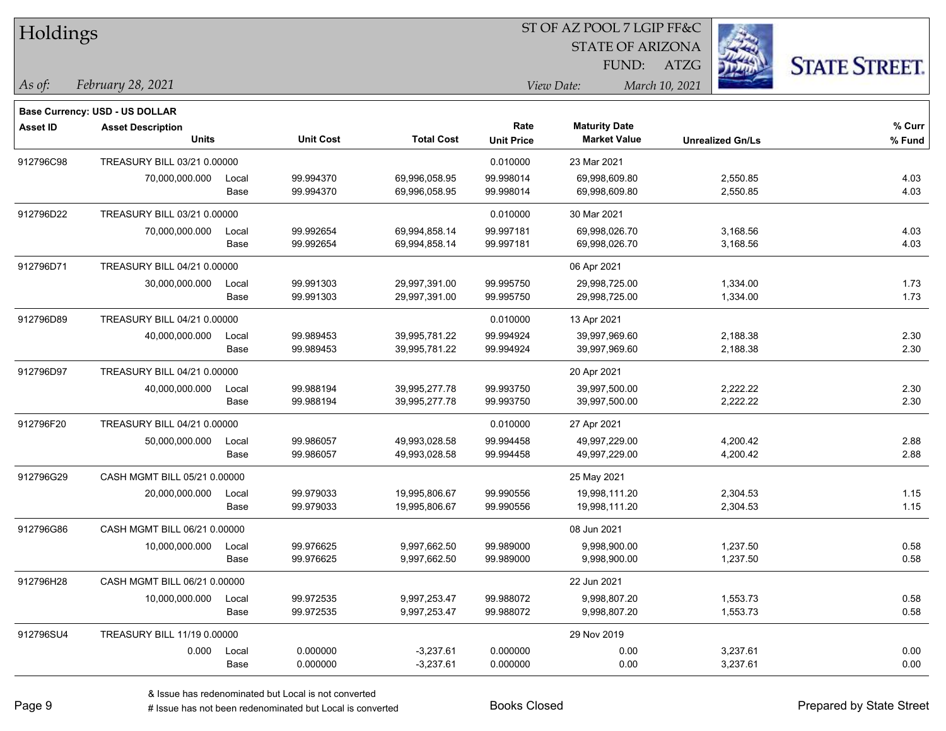| Holdings        |                                       |       |                  |                   | 51 OF AZ POOL 7 LGIP FF&C |                         |                         |          |                     |
|-----------------|---------------------------------------|-------|------------------|-------------------|---------------------------|-------------------------|-------------------------|----------|---------------------|
|                 |                                       |       |                  |                   |                           | <b>STATE OF ARIZONA</b> |                         | 23       |                     |
|                 |                                       |       |                  |                   |                           |                         | FUND: ATZG              |          | <b>STATE STREET</b> |
| As of:          | February 28, 2021                     |       |                  |                   |                           | View Date:              | March 10, 2021          |          |                     |
|                 | <b>Base Currency: USD - US DOLLAR</b> |       |                  |                   |                           |                         |                         |          |                     |
| <b>Asset ID</b> | <b>Asset Description</b>              |       |                  |                   | Rate                      | <b>Maturity Date</b>    |                         |          | % Curr              |
|                 | <b>Units</b>                          |       | <b>Unit Cost</b> | <b>Total Cost</b> | <b>Unit Price</b>         | <b>Market Value</b>     | <b>Unrealized Gn/Ls</b> |          | % Fund              |
| 912796C98       | TREASURY BILL 03/21 0.00000           |       |                  |                   | 0.010000                  | 23 Mar 2021             |                         |          |                     |
|                 | 70,000,000.000                        | Local | 99.994370        | 69,996,058.95     | 99.998014                 | 69,998,609.80           |                         | 2,550.85 | 4.03                |
|                 |                                       | Base  | 99.994370        | 69,996,058.95     | 99.998014                 | 69,998,609.80           |                         | 2,550.85 | 4.03                |
| 912796D22       | TREASURY BILL 03/21 0.00000           |       |                  |                   | 0.010000                  | 30 Mar 2021             |                         |          |                     |
|                 | 70,000,000.000                        | Local | 99.992654        | 69,994,858.14     | 99.997181                 | 69,998,026.70           |                         | 3,168.56 | 4.03                |
|                 |                                       | Base  | 99.992654        | 69,994,858.14     | 99.997181                 | 69,998,026.70           |                         | 3,168.56 | 4.03                |
| 912796D71       | TREASURY BILL 04/21 0.00000           |       |                  |                   |                           | 06 Apr 2021             |                         |          |                     |
|                 | 30,000,000.000                        | Local | 99.991303        | 29,997,391.00     | 99.995750                 | 29,998,725.00           |                         | 1,334.00 | 1.73                |
|                 |                                       | Base  | 99.991303        | 29,997,391.00     | 99.995750                 | 29,998,725.00           |                         | 1,334.00 | 1.73                |
| 912796D89       | TREASURY BILL 04/21 0.00000           |       |                  |                   | 0.010000                  | 13 Apr 2021             |                         |          |                     |
|                 | 40,000,000.000                        | Local | 99.989453        | 39,995,781.22     | 99.994924                 | 39,997,969.60           |                         | 2,188.38 | 2.30                |
|                 |                                       | Base  | 99.989453        | 39,995,781.22     | 99.994924                 | 39,997,969.60           |                         | 2,188.38 | 2.30                |
| 912796D97       | TREASURY BILL 04/21 0.00000           |       |                  |                   |                           | 20 Apr 2021             |                         |          |                     |
|                 | 40,000,000.000                        | Local | 99.988194        | 39,995,277.78     | 99.993750                 | 39,997,500.00           |                         | 2,222.22 | 2.30                |
|                 |                                       | Base  | 99.988194        | 39,995,277.78     | 99.993750                 | 39,997,500.00           |                         | 2,222.22 | 2.30                |
| 912796F20       | TREASURY BILL 04/21 0.00000           |       |                  |                   | 0.010000                  | 27 Apr 2021             |                         |          |                     |
|                 | 50,000,000.000                        | Local | 99.986057        | 49,993,028.58     | 99.994458                 | 49,997,229.00           |                         | 4,200.42 | 2.88                |
|                 |                                       | Base  | 99.986057        | 49,993,028.58     | 99.994458                 | 49,997,229.00           |                         | 4,200.42 | 2.88                |
| 912796G29       | CASH MGMT BILL 05/21 0.00000          |       |                  |                   |                           | 25 May 2021             |                         |          |                     |
|                 | 20,000,000.000                        | Local | 99.979033        | 19,995,806.67     | 99.990556                 | 19,998,111.20           |                         | 2,304.53 | 1.15                |
|                 |                                       | Base  | 99.979033        | 19,995,806.67     | 99.990556                 | 19,998,111.20           |                         | 2,304.53 | 1.15                |
| 912796G86       | CASH MGMT BILL 06/21 0.00000          |       |                  |                   |                           | 08 Jun 2021             |                         |          |                     |
|                 | 10,000,000.000                        | Local | 99.976625        | 9,997,662.50      | 99.989000                 | 9,998,900.00            |                         | 1,237.50 | 0.58                |
|                 |                                       | Base  | 99.976625        | 9,997,662.50      | 99.989000                 | 9,998,900.00            |                         | 1,237.50 | 0.58                |
| 912796H28       | CASH MGMT BILL 06/21 0.00000          |       |                  |                   |                           | 22 Jun 2021             |                         |          |                     |
|                 | 10,000,000.000                        | Local | 99.972535        | 9,997,253.47      | 99.988072                 | 9,998,807.20            |                         | 1,553.73 | 0.58                |
|                 |                                       | Base  | 99.972535        | 9,997,253.47      | 99.988072                 | 9,998,807.20            |                         | 1,553.73 | 0.58                |
| 912796SU4       | TREASURY BILL 11/19 0,00000           |       |                  |                   |                           | 29 Nov 2019             |                         |          |                     |
|                 | 0.000                                 | Local | 0.000000         | $-3,237.61$       | 0.000000                  | 0.00                    |                         | 3,237.61 | 0.00                |
|                 |                                       | Base  | 0.000000         | $-3,237.61$       | 0.000000                  | 0.00                    |                         | 3,237.61 | 0.00                |
|                 |                                       |       |                  |                   |                           |                         |                         |          |                     |

 $ST$  OF A Z POOL 7 LCIP FF&C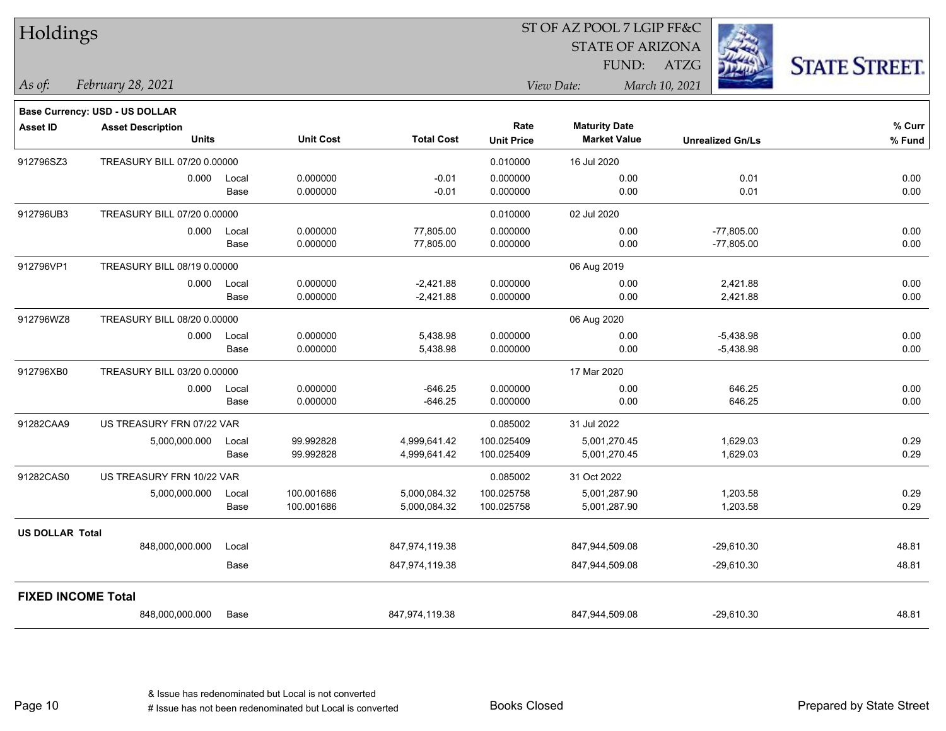| Holdings               |                                          |               |                          |                              |                           | ST OF AZ POOL 7 LGIP FF&C                   |                              |                      |
|------------------------|------------------------------------------|---------------|--------------------------|------------------------------|---------------------------|---------------------------------------------|------------------------------|----------------------|
|                        |                                          |               |                          |                              |                           | <b>STATE OF ARIZONA</b>                     |                              |                      |
|                        |                                          |               |                          |                              |                           |                                             | FUND: ATZG                   | <b>STATE STREET.</b> |
| As of:                 | February 28, 2021                        |               |                          |                              |                           | View Date:                                  | March 10, 2021               |                      |
|                        | <b>Base Currency: USD - US DOLLAR</b>    |               |                          |                              |                           |                                             |                              |                      |
| <b>Asset ID</b>        | <b>Asset Description</b><br><b>Units</b> |               | <b>Unit Cost</b>         | <b>Total Cost</b>            | Rate<br><b>Unit Price</b> | <b>Maturity Date</b><br><b>Market Value</b> | <b>Unrealized Gn/Ls</b>      | % Curr<br>% Fund     |
| 912796SZ3              | TREASURY BILL 07/20 0.00000              |               |                          |                              | 0.010000                  | 16 Jul 2020                                 |                              |                      |
|                        | 0.000                                    | Local<br>Base | 0.000000<br>0.000000     | $-0.01$<br>$-0.01$           | 0.000000<br>0.000000      | 0.00<br>0.00                                | 0.01<br>0.01                 | 0.00<br>0.00         |
| 912796UB3              | TREASURY BILL 07/20 0.00000              |               |                          |                              | 0.010000                  | 02 Jul 2020                                 |                              |                      |
|                        | 0.000                                    | Local<br>Base | 0.000000<br>0.000000     | 77,805.00<br>77,805.00       | 0.000000<br>0.000000      | 0.00<br>0.00                                | $-77,805.00$<br>$-77,805.00$ | 0.00<br>0.00         |
| 912796VP1              | TREASURY BILL 08/19 0.00000              |               |                          |                              |                           | 06 Aug 2019                                 |                              |                      |
|                        | 0.000                                    | Local<br>Base | 0.000000<br>0.000000     | $-2,421.88$<br>$-2,421.88$   | 0.000000<br>0.000000      | 0.00<br>0.00                                | 2,421.88<br>2,421.88         | 0.00<br>$0.00\,$     |
| 912796WZ8              | TREASURY BILL 08/20 0.00000              |               |                          |                              |                           | 06 Aug 2020                                 |                              |                      |
|                        | 0.000                                    | Local<br>Base | 0.000000<br>0.000000     | 5,438.98<br>5,438.98         | 0.000000<br>0.000000      | 0.00<br>0.00                                | $-5,438.98$<br>$-5,438.98$   | 0.00<br>0.00         |
| 912796XB0              | TREASURY BILL 03/20 0.00000              |               |                          |                              |                           | 17 Mar 2020                                 |                              |                      |
|                        | 0.000                                    | Local<br>Base | 0.000000<br>0.000000     | $-646.25$<br>$-646.25$       | 0.000000<br>0.000000      | 0.00<br>0.00                                | 646.25<br>646.25             | 0.00<br>0.00         |
| 91282CAA9              | US TREASURY FRN 07/22 VAR                |               |                          |                              | 0.085002                  | 31 Jul 2022                                 |                              |                      |
|                        | 5,000,000.000                            | Local<br>Base | 99.992828<br>99.992828   | 4,999,641.42<br>4,999,641.42 | 100.025409<br>100.025409  | 5,001,270.45<br>5,001,270.45                | 1,629.03<br>1,629.03         | 0.29<br>0.29         |
| 91282CAS0              | US TREASURY FRN 10/22 VAR                |               |                          |                              | 0.085002                  | 31 Oct 2022                                 |                              |                      |
|                        | 5,000,000.000                            | Local<br>Base | 100.001686<br>100.001686 | 5,000,084.32<br>5,000,084.32 | 100.025758<br>100.025758  | 5,001,287.90<br>5,001,287.90                | 1,203.58<br>1,203.58         | 0.29<br>0.29         |
| <b>US DOLLAR Total</b> |                                          |               |                          |                              |                           |                                             |                              |                      |
|                        | 848,000,000.000                          | Local         |                          | 847,974,119.38               |                           | 847,944,509.08                              | $-29,610.30$                 | 48.81                |
|                        |                                          | Base          |                          | 847,974,119.38               |                           | 847,944,509.08                              | -29,610.30                   | 48.81                |
|                        | <b>FIXED INCOME Total</b>                |               |                          |                              |                           |                                             |                              |                      |
|                        | 848,000,000.000                          | Base          |                          | 847,974,119.38               |                           | 847,944,509.08                              | -29,610.30                   | 48.81                |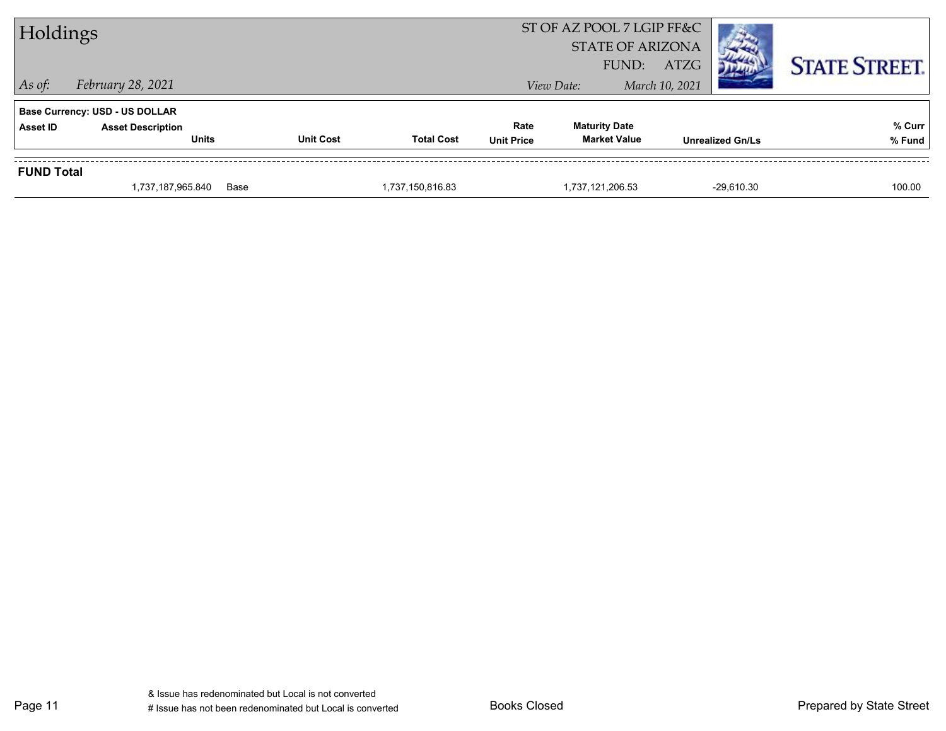|                   | 1,737,187,965.840                                                 | Base             | 1,737,150,816.83  |                   | 1,737,121,206.53          | $-29.610.30$            | 100.00               |
|-------------------|-------------------------------------------------------------------|------------------|-------------------|-------------------|---------------------------|-------------------------|----------------------|
| <b>FUND Total</b> |                                                                   |                  |                   |                   |                           |                         |                      |
|                   | <b>Units</b>                                                      | <b>Unit Cost</b> | <b>Total Cost</b> | <b>Unit Price</b> | <b>Market Value</b>       | <b>Unrealized Gn/Ls</b> | % Fund               |
| Asset ID          | <b>Base Currency: USD - US DOLLAR</b><br><b>Asset Description</b> |                  |                   | Rate              | <b>Maturity Date</b>      |                         | % Curr               |
| $\vert$ As of:    | February 28, 2021                                                 |                  |                   |                   | View Date:                | March 10, 2021          |                      |
|                   |                                                                   |                  |                   |                   | FUND:                     | <b>ATZG</b>             | <b>STATE STREET.</b> |
|                   |                                                                   |                  |                   |                   | <b>STATE OF ARIZONA</b>   |                         |                      |
| Holdings          |                                                                   |                  |                   |                   | ST OF AZ POOL 7 LGIP FF&C |                         |                      |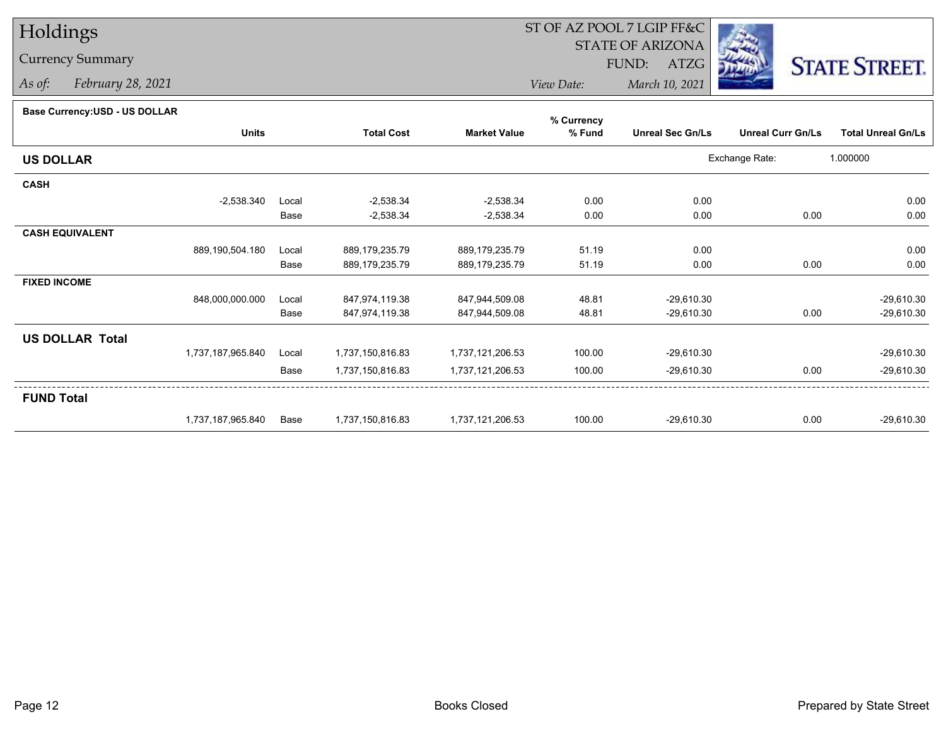# Holdings

### Currency Summary

*As of: February 28, 2021*

## ST OF AZ POOL 7 LGIP FF&C

STATE OF ARIZONA

FUND: ATZG



*View Date:March 10, 2021*

#### **Base Currency:USD - US DOLLAR**

|                        |                   |       | % Currency        |                     |        |                         |                          |                           |  |  |
|------------------------|-------------------|-------|-------------------|---------------------|--------|-------------------------|--------------------------|---------------------------|--|--|
|                        | <b>Units</b>      |       | <b>Total Cost</b> | <b>Market Value</b> | % Fund | <b>Unreal Sec Gn/Ls</b> | <b>Unreal Curr Gn/Ls</b> | <b>Total Unreal Gn/Ls</b> |  |  |
| <b>US DOLLAR</b>       |                   |       |                   |                     |        |                         | Exchange Rate:           | 1.000000                  |  |  |
| <b>CASH</b>            |                   |       |                   |                     |        |                         |                          |                           |  |  |
|                        | $-2,538.340$      | Local | $-2,538.34$       | $-2,538.34$         | 0.00   | 0.00                    |                          | 0.00                      |  |  |
|                        |                   | Base  | $-2,538.34$       | $-2,538.34$         | 0.00   | 0.00                    | 0.00                     | 0.00                      |  |  |
| <b>CASH EQUIVALENT</b> |                   |       |                   |                     |        |                         |                          |                           |  |  |
|                        | 889,190,504.180   | Local | 889,179,235.79    | 889,179,235.79      | 51.19  | 0.00                    |                          | 0.00                      |  |  |
|                        |                   | Base  | 889,179,235.79    | 889,179,235.79      | 51.19  | 0.00                    | 0.00                     | 0.00                      |  |  |
| <b>FIXED INCOME</b>    |                   |       |                   |                     |        |                         |                          |                           |  |  |
|                        | 848,000,000.000   | Local | 847,974,119.38    | 847,944,509.08      | 48.81  | $-29,610.30$            |                          | $-29,610.30$              |  |  |
|                        |                   | Base  | 847,974,119.38    | 847,944,509.08      | 48.81  | $-29,610.30$            | 0.00                     | $-29,610.30$              |  |  |
| <b>US DOLLAR Total</b> |                   |       |                   |                     |        |                         |                          |                           |  |  |
|                        | 1,737,187,965.840 | Local | 1,737,150,816.83  | 1,737,121,206.53    | 100.00 | $-29,610.30$            |                          | $-29,610.30$              |  |  |
|                        |                   | Base  | 1,737,150,816.83  | 1,737,121,206.53    | 100.00 | $-29,610.30$            | 0.00                     | $-29,610.30$              |  |  |
| <b>FUND Total</b>      |                   |       |                   |                     |        |                         |                          |                           |  |  |
|                        | 1,737,187,965.840 | Base  | 1,737,150,816.83  | 1,737,121,206.53    | 100.00 | $-29,610.30$            | 0.00                     | $-29,610.30$              |  |  |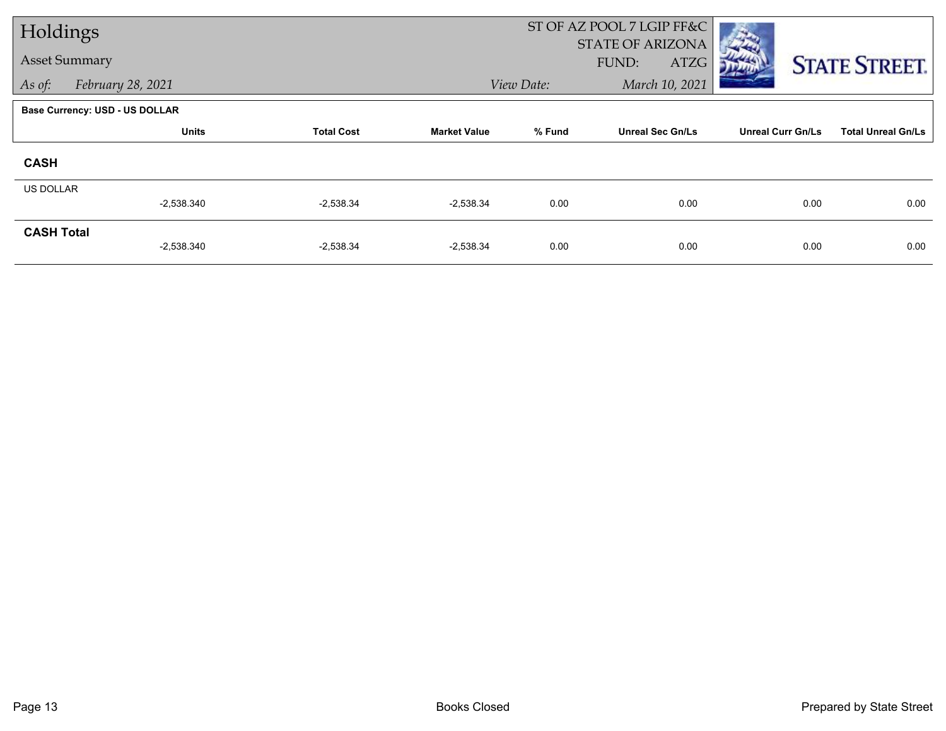| Holdings             |                                       |                   |                     | ST OF AZ POOL 7 LGIP FF&C |                                          |                          |                           |  |
|----------------------|---------------------------------------|-------------------|---------------------|---------------------------|------------------------------------------|--------------------------|---------------------------|--|
| <b>Asset Summary</b> |                                       |                   |                     |                           | <b>STATE OF ARIZONA</b><br>FUND:<br>ATZG |                          | <b>STATE STREET.</b>      |  |
| As of:               | February 28, 2021                     |                   |                     | View Date:                | March 10, 2021                           |                          |                           |  |
|                      | <b>Base Currency: USD - US DOLLAR</b> |                   |                     |                           |                                          |                          |                           |  |
|                      | <b>Units</b>                          | <b>Total Cost</b> | <b>Market Value</b> | % Fund                    | <b>Unreal Sec Gn/Ls</b>                  | <b>Unreal Curr Gn/Ls</b> | <b>Total Unreal Gn/Ls</b> |  |
| <b>CASH</b>          |                                       |                   |                     |                           |                                          |                          |                           |  |
| US DOLLAR            |                                       |                   |                     |                           |                                          |                          |                           |  |
|                      | $-2,538.340$                          | $-2,538.34$       | $-2,538.34$         | 0.00                      | 0.00                                     | 0.00                     | 0.00                      |  |
| <b>CASH Total</b>    |                                       |                   |                     |                           |                                          |                          |                           |  |
|                      | $-2,538.340$                          | $-2,538.34$       | $-2,538.34$         | 0.00                      | 0.00                                     | 0.00                     | 0.00                      |  |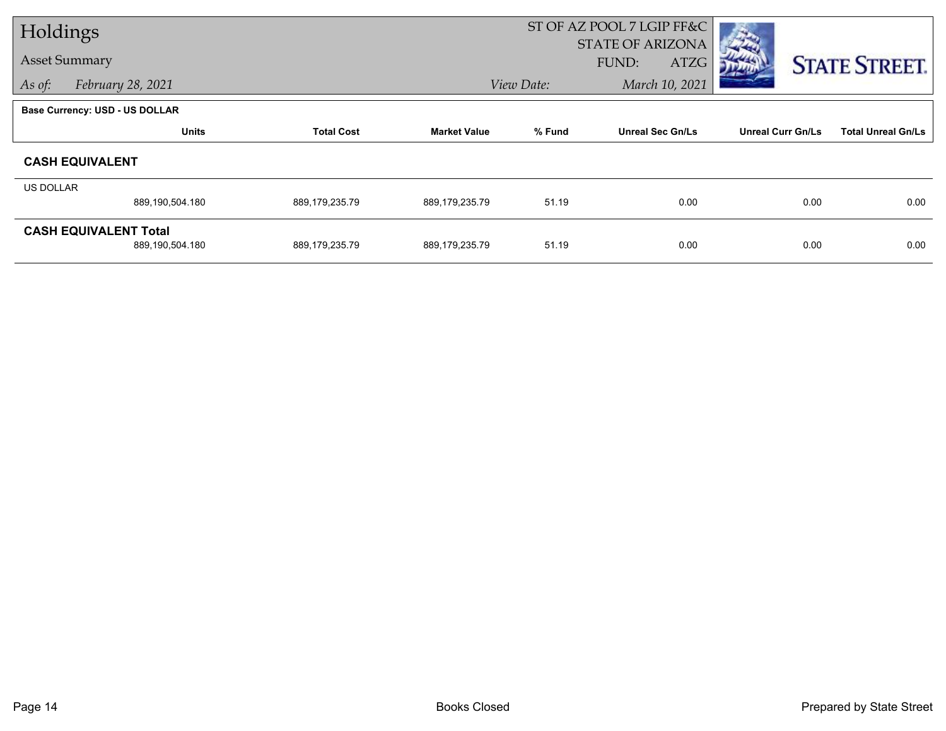| Holdings  |                                       |                   |                     | ST OF AZ POOL 7 LGIP FF&C |                                          |                          |                           |  |
|-----------|---------------------------------------|-------------------|---------------------|---------------------------|------------------------------------------|--------------------------|---------------------------|--|
|           | <b>Asset Summary</b>                  |                   |                     |                           | <b>STATE OF ARIZONA</b><br>FUND:<br>ATZG |                          | <b>STATE STREET.</b>      |  |
| As of:    | February 28, 2021                     |                   |                     | View Date:                | March 10, 2021                           |                          |                           |  |
|           | <b>Base Currency: USD - US DOLLAR</b> |                   |                     |                           |                                          |                          |                           |  |
|           | <b>Units</b>                          | <b>Total Cost</b> | <b>Market Value</b> | % Fund                    | <b>Unreal Sec Gn/Ls</b>                  | <b>Unreal Curr Gn/Ls</b> | <b>Total Unreal Gn/Ls</b> |  |
|           | <b>CASH EQUIVALENT</b>                |                   |                     |                           |                                          |                          |                           |  |
| US DOLLAR |                                       |                   |                     |                           |                                          |                          |                           |  |
|           | 889,190,504.180                       | 889,179,235.79    | 889,179,235.79      | 51.19                     | 0.00                                     | 0.00                     | 0.00                      |  |
|           | <b>CASH EQUIVALENT Total</b>          |                   |                     |                           |                                          |                          |                           |  |
|           | 889,190,504.180                       | 889,179,235.79    | 889,179,235.79      | 51.19                     | 0.00                                     | 0.00                     | 0.00                      |  |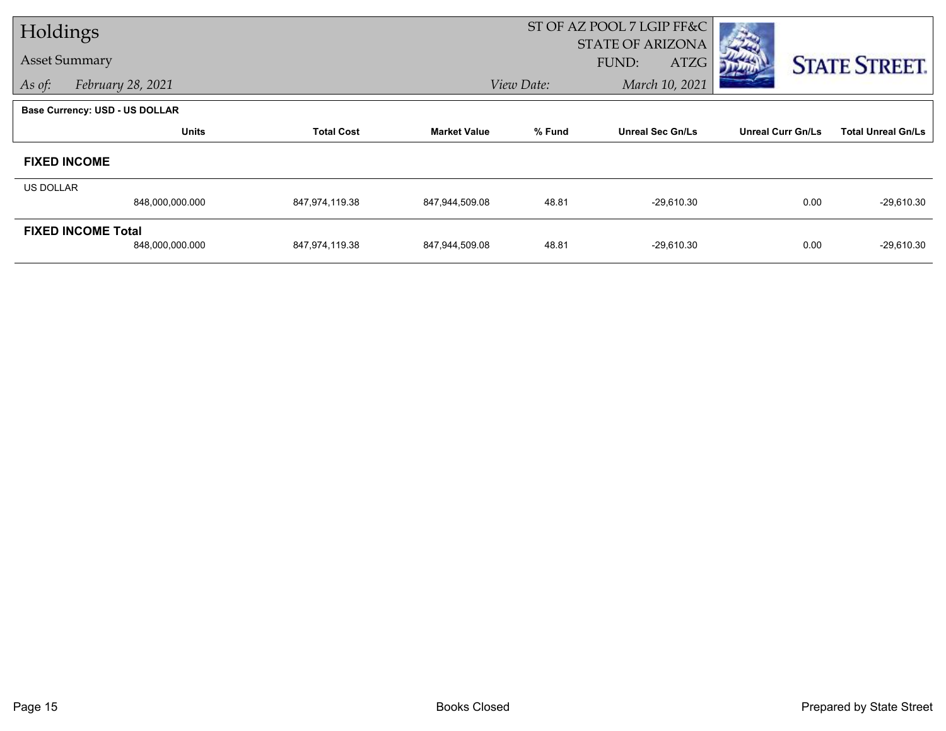| Holdings  |                                       |                   |                     | ST OF AZ POOL 7 LGIP FF&C |                                          |                          |                           |
|-----------|---------------------------------------|-------------------|---------------------|---------------------------|------------------------------------------|--------------------------|---------------------------|
|           | <b>Asset Summary</b>                  |                   |                     |                           | <b>STATE OF ARIZONA</b><br>FUND:<br>ATZG |                          | <b>STATE STREET.</b>      |
| As of:    | February 28, 2021                     |                   |                     | View Date:                | March 10, 2021                           |                          |                           |
|           | <b>Base Currency: USD - US DOLLAR</b> |                   |                     |                           |                                          |                          |                           |
|           | <b>Units</b>                          | <b>Total Cost</b> | <b>Market Value</b> | % Fund                    | <b>Unreal Sec Gn/Ls</b>                  | <b>Unreal Curr Gn/Ls</b> | <b>Total Unreal Gn/Ls</b> |
|           | <b>FIXED INCOME</b>                   |                   |                     |                           |                                          |                          |                           |
| US DOLLAR |                                       |                   |                     |                           |                                          |                          |                           |
|           | 848,000,000.000                       | 847,974,119.38    | 847,944,509.08      | 48.81                     | $-29,610.30$                             | 0.00                     | $-29,610.30$              |
|           | <b>FIXED INCOME Total</b>             |                   |                     |                           |                                          |                          |                           |
|           | 848,000,000.000                       | 847,974,119.38    | 847,944,509.08      | 48.81                     | $-29,610.30$                             | 0.00                     | $-29,610.30$              |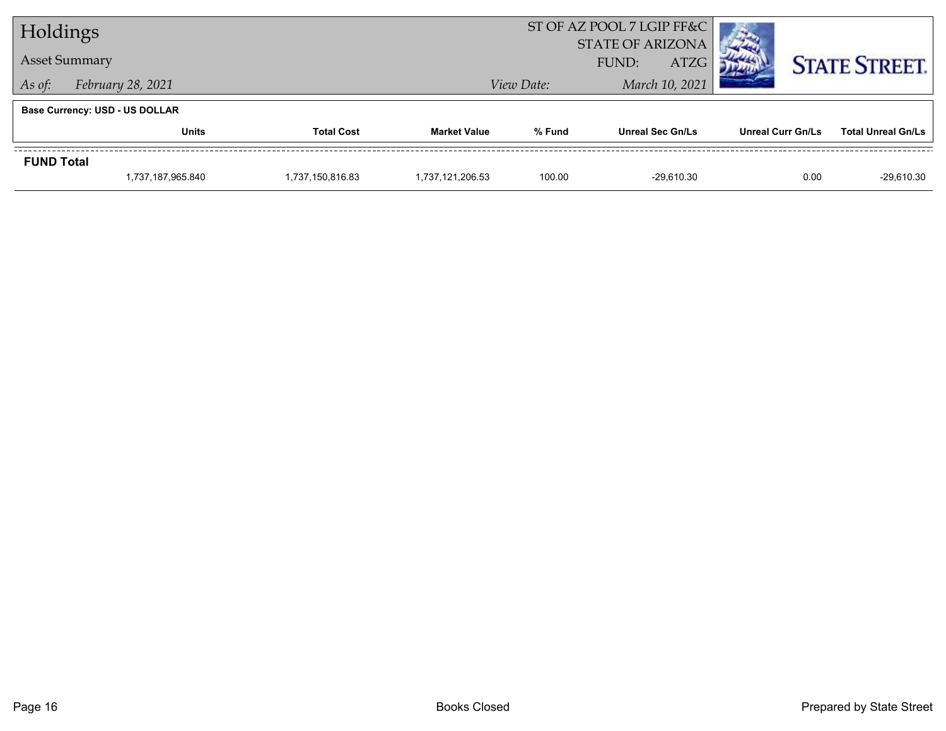| Holdings                   |                                       |                  | ST OF AZ POOL 7 LGIP FF&C |                      |                         |                          |                           |
|----------------------------|---------------------------------------|------------------|---------------------------|----------------------|-------------------------|--------------------------|---------------------------|
|                            |                                       |                  | <b>STATE OF ARIZONA</b>   |                      |                         |                          |                           |
| <b>Asset Summary</b>       |                                       |                  |                           | <b>ATZG</b><br>FUND: |                         |                          | <b>STATE STREET.</b>      |
| As of:                     | February 28, 2021                     |                  | View Date:                |                      | March 10, 2021          |                          |                           |
|                            | <b>Base Currency: USD - US DOLLAR</b> |                  |                           |                      |                         |                          |                           |
| <b>Total Cost</b><br>Units |                                       |                  | <b>Market Value</b>       | % Fund               | <b>Unreal Sec Gn/Ls</b> | <b>Unreal Curr Gn/Ls</b> | <b>Total Unreal Gn/Ls</b> |
| <b>FUND Total</b>          |                                       |                  |                           |                      |                         |                          |                           |
|                            | 1,737,187,965.840                     | 1,737,150,816.83 | 1,737,121,206.53          | 100.00               | $-29.610.30$            | 0.00                     | $-29,610.30$              |